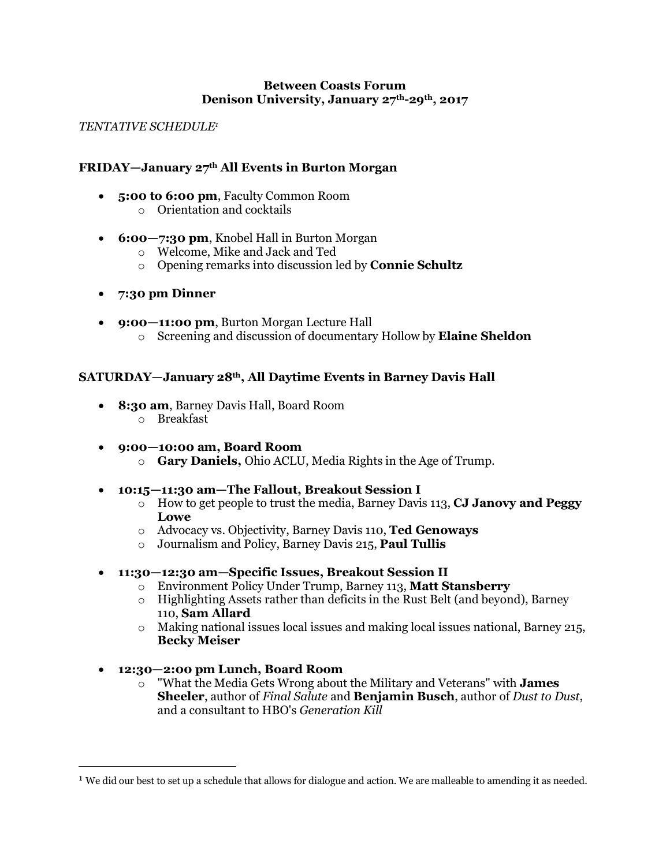#### **Between Coasts Forum Denison University, January 27th-29th, 2017**

#### *TENTATIVE SCHEDULE1*

## **FRIDAY—January 27th All Events in Burton Morgan**

- **5:00 to 6:00 pm**, Faculty Common Room
	- o Orientation and cocktails
- **6:00—7:30 pm**, Knobel Hall in Burton Morgan
	- o Welcome, Mike and Jack and Ted
	- o Opening remarks into discussion led by **Connie Schultz**
- **7:30 pm Dinner**
- **9:00—11:00 pm**, Burton Morgan Lecture Hall o Screening and discussion of documentary Hollow by **Elaine Sheldon**

# **SATURDAY—January 28th, All Daytime Events in Barney Davis Hall**

- **8:30 am**, Barney Davis Hall, Board Room
	- o Breakfast
- **9:00—10:00 am, Board Room**
	- o **Gary Daniels,** Ohio ACLU, Media Rights in the Age of Trump.
- **10:15—11:30 am—The Fallout, Breakout Session I**
	- o How to get people to trust the media, Barney Davis 113, **CJ Janovy and Peggy Lowe**
	- o Advocacy vs. Objectivity, Barney Davis 110, **Ted Genoways**
	- o Journalism and Policy, Barney Davis 215, **Paul Tullis**
- **11:30—12:30 am—Specific Issues, Breakout Session II**
	- o Environment Policy Under Trump, Barney 113, **Matt Stansberry**
	- $\circ$  Highlighting Assets rather than deficits in the Rust Belt (and beyond), Barney 110, **Sam Allard**
	- $\circ$  Making national issues local issues and making local issues national, Barney 215, **Becky Meiser**
- **12:30—2:00 pm Lunch, Board Room**
	- o "What the Media Gets Wrong about the Military and Veterans" with **James Sheeler**, author of *Final Salute* and **Benjamin Busch**, author of *Dust to Dust*, and a consultant to HBO's *Generation Kill*

<sup>&</sup>lt;sup>1</sup> We did our best to set up a schedule that allows for dialogue and action. We are malleable to amending it as needed.